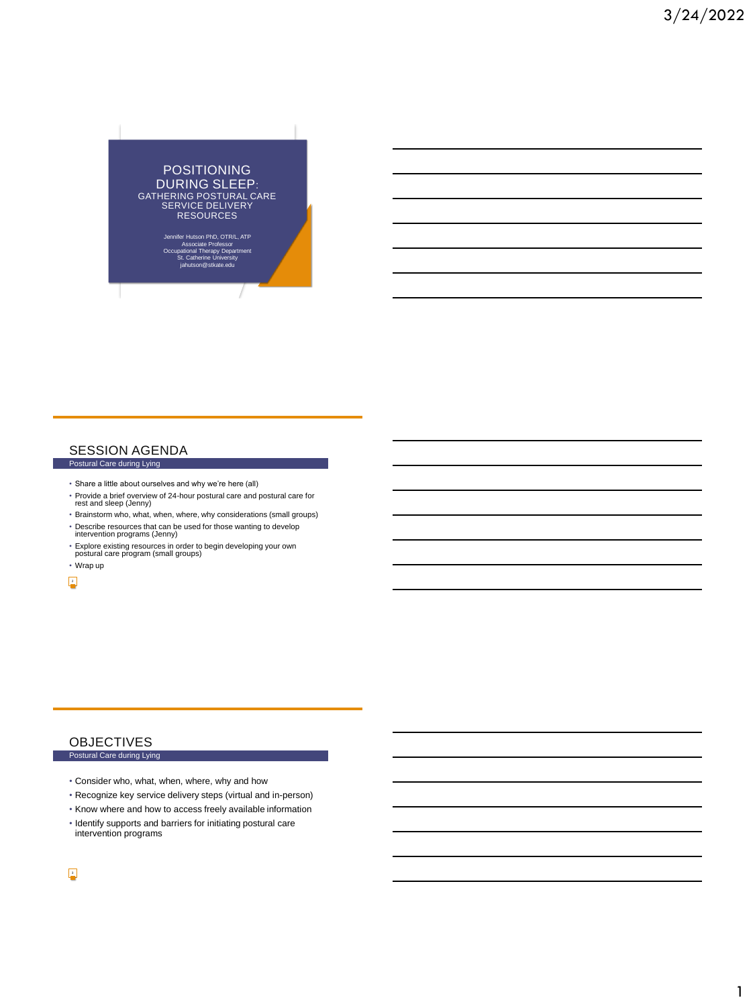

## SESSION AGENDA

# Postural Care during Lying

- Share a little about ourselves and why we're here (all)
- Provide a brief overview of 24-hour postural care and postural care for rest and sleep (Jenny)
- Brainstorm who, what, when, where, why considerations (small groups)
- Describe resources that can be used for those wanting to develop intervention programs (Jenny)
- Explore existing resources in order to begin developing your own postural care program (small groups)

• Wrap up 2

# **OBJECTIVES**

#### Postural Care during Lying

- Consider who, what, when, where, why and how
- Recognize key service delivery steps (virtual and in-person)
- Know where and how to access freely available information
- Identify supports and barriers for initiating postural care intervention programs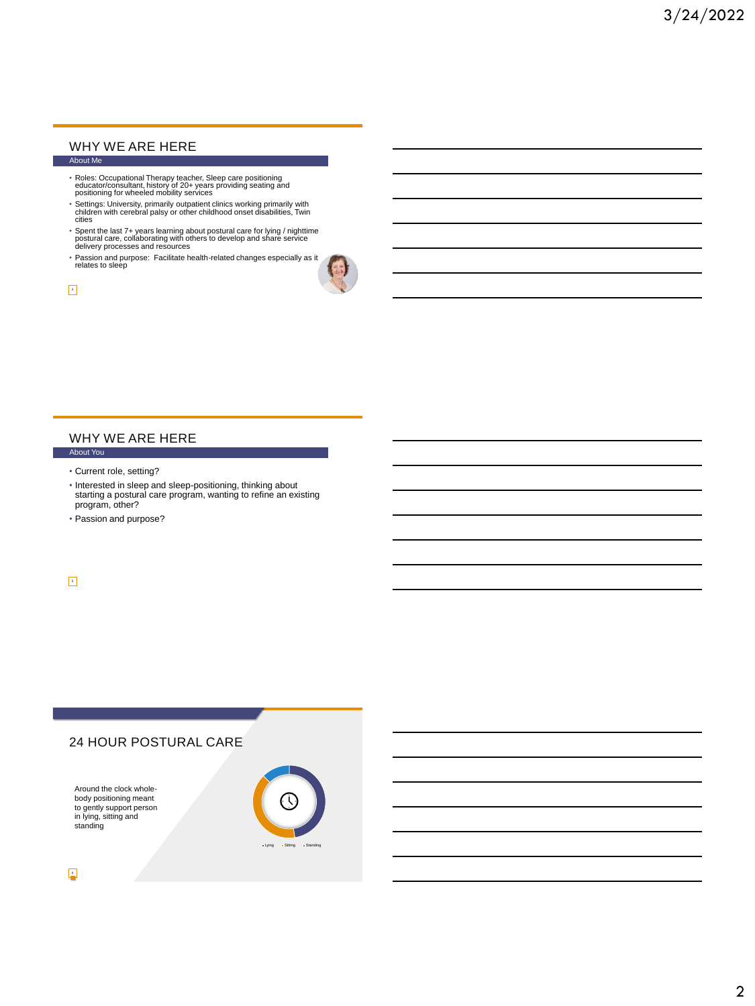#### WHY WE ARE HERE About Me

- Roles: Occupational Therapy teacher, Sleep care positioning educator/consultant, history of 20+ years providing seating and positioning for wheeled mobility services
- Settings: University, primarily outpatient clinics working primarily with children with cerebral palsy or other childhood onset disabilities, Twin cities
- Spent the last 7+ years learning about postural care for lying / nighttime postural care, collaborating with others to develop and share service delivery processes and resources
- Passion and purpose: Facilitate health-related changes especially as it relates to sleep

 $\overline{\phantom{a}}$ 

## WHY WE ARE HERE

- About You
- Current role, setting?
- Interested in sleep and sleep-positioning, thinking about starting a postural care program, wanting to refine an existing program, other?
- Passion and purpose?

5

# 24 HOUR POSTURAL CARE

Around the clock wholebody positioning meant to gently support person in lying, sitting and standing

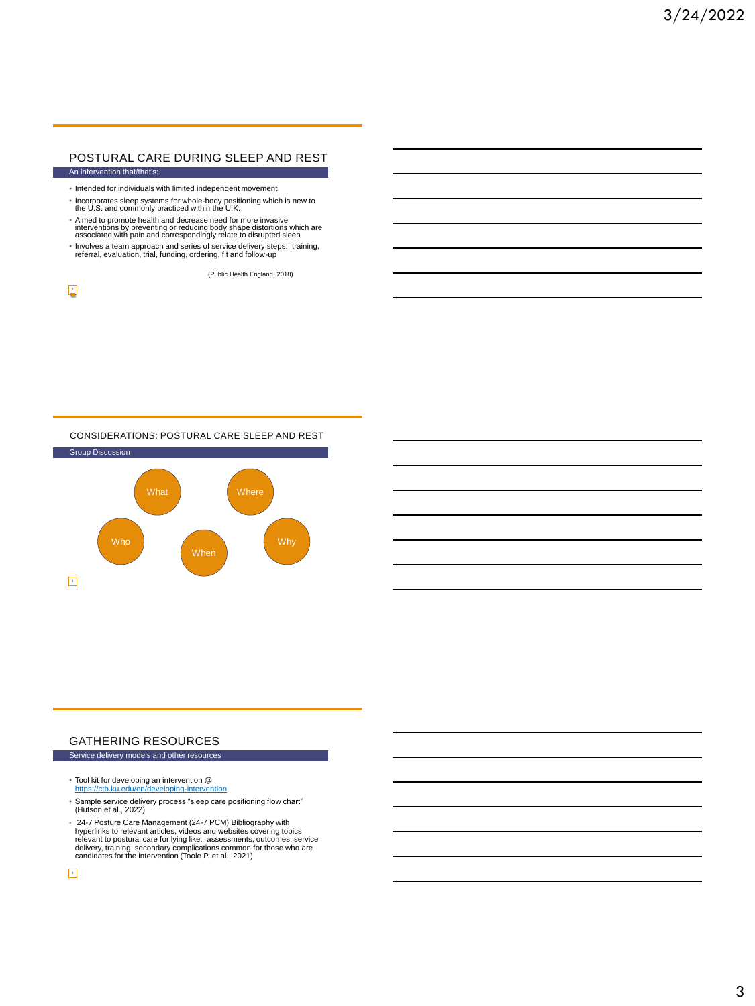#### POSTURAL CARE DURING SLEEP AND REST An intervention that/that's:

- Intended for individuals with limited independent movement
- Incorporates sleep systems for whole-body positioning which is new to the U.S. and commonly practiced within the U.K.
- Aimed to promote health and decrease need for more invasive interventions by preventing or reducing body shape distortions which are associated with pain and correspondingly relate to disrupted sleep
- Involves a team approach and series of service delivery steps: training, referral, evaluation, trial, funding, ordering, fit and follow-up

(Public Health England, 2018)

 $\overline{r}$ 

#### CONSIDERATIONS: POSTURAL CARE SLEEP AND REST



#### GATHERING RESOURCES Service delivery models and other resources

- 
- Tool kit for developing an intervention @ <https://ctb.ku.edu/en/developing-intervention>
- Sample service delivery process "sleep care positioning flow chart" (Hutson et al., 2022)
- 24-7 Posture Care Management (24-7 PCM) Bibliography with<br>hyperlinks to relevant articles, videos and websites covering topics<br>relevant to postural care for lying like: assessments, outcomes, service<br>delivery, training,